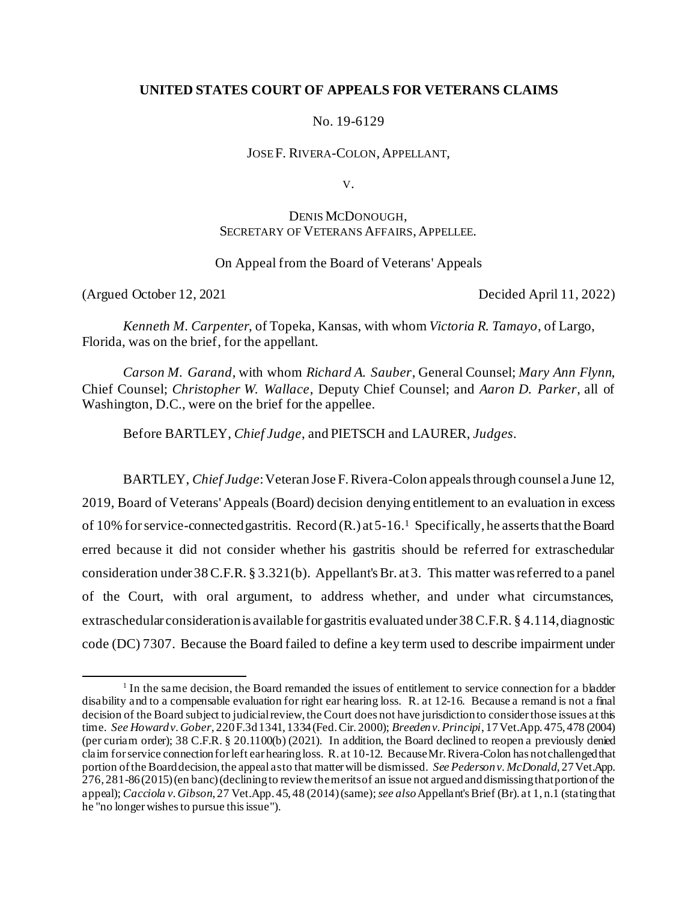# **UNITED STATES COURT OF APPEALS FOR VETERANS CLAIMS**

No. 19-6129

JOSE F. RIVERA-COLON, APPELLANT,

V.

# DENIS MCDONOUGH, SECRETARY OF VETERANS AFFAIRS, APPELLEE.

# On Appeal from the Board of Veterans' Appeals

(Argued October 12, 2021 Decided April 11, 2022)

*Kenneth M. Carpenter*, of Topeka, Kansas, with whom *Victoria R. Tamayo*, of Largo, Florida, was on the brief, for the appellant.

*Carson M. Garand*, with whom *Richard A. Sauber*, General Counsel; *Mary Ann Flynn*, Chief Counsel; *Christopher W. Wallace*, Deputy Chief Counsel; and *Aaron D. Parker*, all of Washington, D.C., were on the brief for the appellee.

Before BARTLEY, *Chief Judge*, and PIETSCH and LAURER, *Judges*.

BARTLEY, *Chief Judge*: Veteran Jose F. Rivera-Colon appeals through counsel a June 12, 2019, Board of Veterans' Appeals (Board) decision denying entitlement to an evaluation in excess of 10% for service-connected gastritis. Record (R.) at 5-16.<sup>1</sup> Specifically, he asserts that the Board erred because it did not consider whether his gastritis should be referred for extraschedular consideration under 38 C.F.R. § 3.321(b). Appellant's Br. at 3. This matter was referred to a panel of the Court, with oral argument, to address whether, and under what circumstances, extraschedular consideration is available for gastritis evaluated under 38 C.F.R. § 4.114, diagnostic code (DC) 7307. Because the Board failed to define a key term used to describe impairment under

<sup>&</sup>lt;sup>1</sup> In the same decision, the Board remanded the issues of entitlement to service connection for a bladder disability and to a compensable evaluation for right ear hearing loss. R. at 12-16. Because a remand is not a final decision of the Board subject to judicial review, the Court does not have jurisdiction to consider those issues at this time. *See Howard v. Gober*, 220 F.3d 1341, 1334 (Fed. Cir. 2000); *Breeden v. Principi*, 17 Vet.App. 475, 478 (2004) (per curiam order); 38 C.F.R. § 20.1100(b) (2021). In addition, the Board declined to reopen a previously denied claim for service connection for left ear hearing loss. R. at 10-12. Because Mr. Rivera-Colon has not challenged that portion of the Board decision, the appeal as to that matter will be dismissed. *See Pederson v. McDonald*, 27 Vet.App. 276, 281-86 (2015) (en banc) (declining to review the merits of an issue not argued and dismissing that portion of the appeal); *Cacciola v. Gibson*, 27 Vet.App. 45, 48 (2014) (same); *see also*Appellant's Brief (Br). at 1, n.1 (stating that he "no longer wishes to pursue this issue").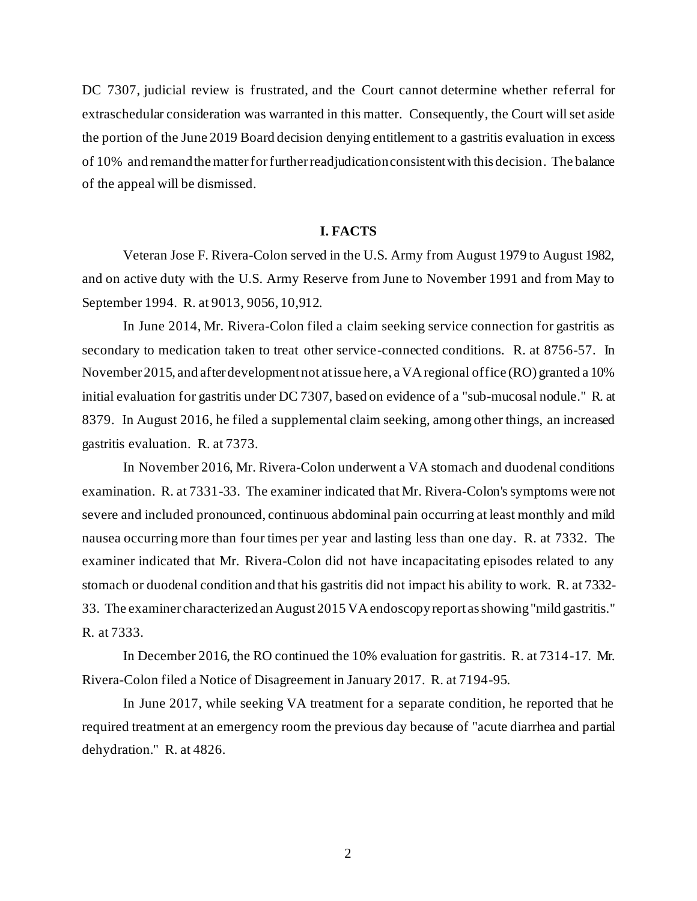DC 7307, judicial review is frustrated, and the Court cannot determine whether referral for extraschedular consideration was warranted in this matter. Consequently, the Court will set aside the portion of the June 2019 Board decision denying entitlement to a gastritis evaluation in excess of 10% and remand the matter for further readjudication consistent with this decision. The balance of the appeal will be dismissed.

#### **I. FACTS**

Veteran Jose F. Rivera-Colon served in the U.S. Army from August 1979 to August 1982, and on active duty with the U.S. Army Reserve from June to November 1991 and from May to September 1994. R. at 9013, 9056, 10,912.

In June 2014, Mr. Rivera-Colon filed a claim seeking service connection for gastritis as secondary to medication taken to treat other service-connected conditions. R. at 8756-57. In November 2015, and after development not at issue here, a VA regional office (RO) granted a 10% initial evaluation for gastritis under DC 7307, based on evidence of a "sub-mucosal nodule." R. at 8379. In August 2016, he filed a supplemental claim seeking, among other things, an increased gastritis evaluation. R. at 7373.

In November 2016, Mr. Rivera-Colon underwent a VA stomach and duodenal conditions examination. R. at 7331-33. The examiner indicated that Mr. Rivera-Colon's symptoms were not severe and included pronounced, continuous abdominal pain occurring at least monthly and mild nausea occurring more than four times per year and lasting less than one day. R. at 7332. The examiner indicated that Mr. Rivera-Colon did not have incapacitating episodes related to any stomach or duodenal condition and that his gastritis did not impact his ability to work. R. at 7332- 33. The examiner characterized an August 2015 VA endoscopy report as showing "mild gastritis." R. at 7333.

In December 2016, the RO continued the 10% evaluation for gastritis. R. at 7314-17. Mr. Rivera-Colon filed a Notice of Disagreement in January 2017. R. at 7194-95.

In June 2017, while seeking VA treatment for a separate condition, he reported that he required treatment at an emergency room the previous day because of "acute diarrhea and partial dehydration." R. at 4826.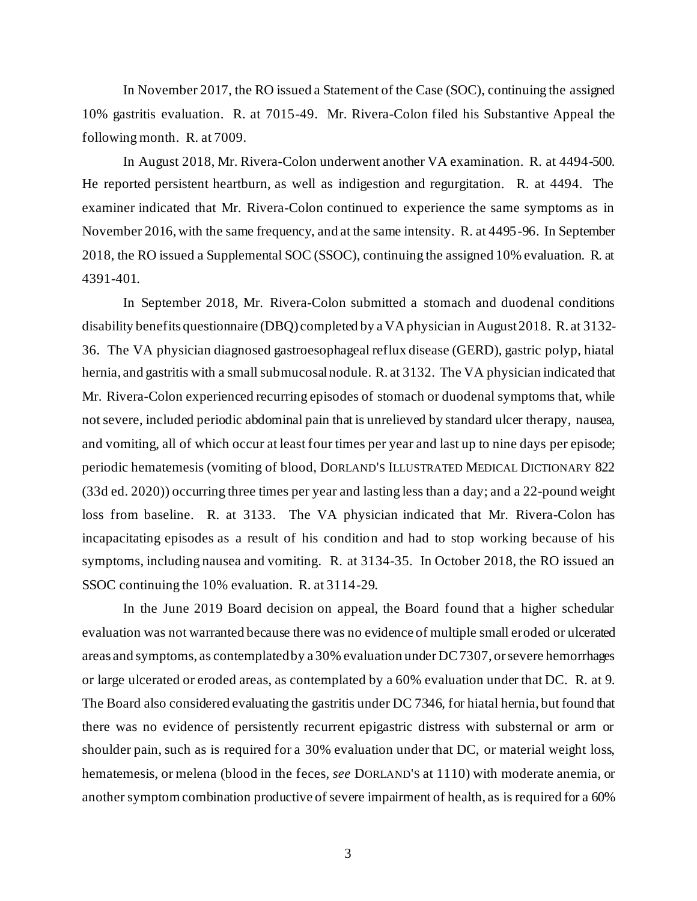In November 2017, the RO issued a Statement of the Case (SOC), continuing the assigned 10% gastritis evaluation. R. at 7015-49. Mr. Rivera-Colon filed his Substantive Appeal the following month. R. at 7009.

In August 2018, Mr. Rivera-Colon underwent another VA examination. R. at 4494-500. He reported persistent heartburn, as well as indigestion and regurgitation. R. at 4494. The examiner indicated that Mr. Rivera-Colon continued to experience the same symptoms as in November 2016, with the same frequency, and at the same intensity. R. at 4495-96. In September 2018, the RO issued a Supplemental SOC (SSOC), continuing the assigned 10% evaluation. R. at 4391-401.

In September 2018, Mr. Rivera-Colon submitted a stomach and duodenal conditions disability benefits questionnaire (DBQ) completed by a VA physician in August 2018. R. at 3132- 36. The VA physician diagnosed gastroesophageal reflux disease (GERD), gastric polyp, hiatal hernia, and gastritis with a small submucosal nodule. R. at 3132. The VA physician indicated that Mr. Rivera-Colon experienced recurring episodes of stomach or duodenal symptoms that, while not severe, included periodic abdominal pain that is unrelieved by standard ulcer therapy, nausea, and vomiting, all of which occur at least four times per year and last up to nine days per episode; periodic hematemesis (vomiting of blood, DORLAND'S ILLUSTRATED MEDICAL DICTIONARY 822 (33d ed. 2020)) occurring three times per year and lasting less than a day; and a 22-pound weight loss from baseline. R. at 3133. The VA physician indicated that Mr. Rivera-Colon has incapacitating episodes as a result of his condition and had to stop working because of his symptoms, including nausea and vomiting. R. at 3134-35. In October 2018, the RO issued an SSOC continuing the 10% evaluation. R. at 3114-29.

In the June 2019 Board decision on appeal, the Board found that a higher schedular evaluation was not warranted because there was no evidence of multiple small eroded or ulcerated areas and symptoms, as contemplated by a 30% evaluation under DC 7307, or severe hemorrhages or large ulcerated or eroded areas, as contemplated by a 60% evaluation under that DC. R. at 9. The Board also considered evaluating the gastritis under DC 7346, for hiatal hernia, but found that there was no evidence of persistently recurrent epigastric distress with substernal or arm or shoulder pain, such as is required for a 30% evaluation under that DC, or material weight loss, hematemesis, or melena (blood in the feces, *see* DORLAND'S at 1110) with moderate anemia, or another symptom combination productive of severe impairment of health, as is required for a 60%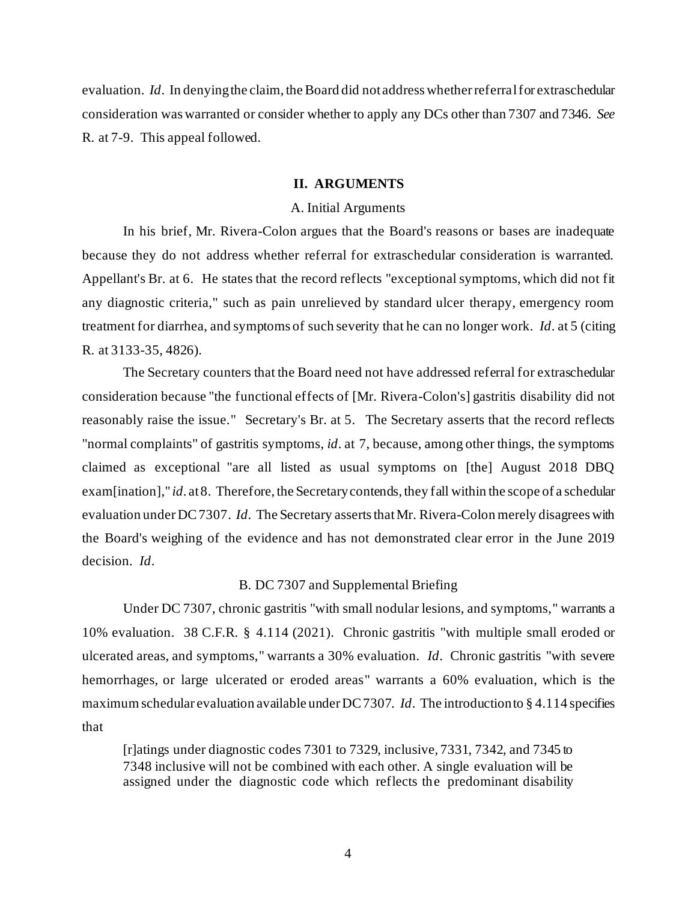evaluation. *Id*. In denying the claim, the Board did not address whether referral for extraschedular consideration was warranted or consider whether to apply any DCs other than 7307 and 7346. *See* R. at 7-9. This appeal followed.

## **II. ARGUMENTS**

## A. Initial Arguments

In his brief, Mr. Rivera-Colon argues that the Board's reasons or bases are inadequate because they do not address whether referral for extraschedular consideration is warranted. Appellant's Br. at 6. He states that the record reflects "exceptional symptoms, which did not fit any diagnostic criteria," such as pain unrelieved by standard ulcer therapy, emergency room treatment for diarrhea, and symptoms of such severity that he can no longer work. *Id*. at 5 (citing R. at 3133-35, 4826).

The Secretary counters that the Board need not have addressed referral for extraschedular consideration because "the functional effects of [Mr. Rivera-Colon's] gastritis disability did not reasonably raise the issue." Secretary's Br. at 5. The Secretary asserts that the record reflects "normal complaints" of gastritis symptoms, *id*. at 7, because, among other things, the symptoms claimed as exceptional "are all listed as usual symptoms on [the] August 2018 DBQ exam[ination]," *id*. at 8. Therefore, the Secretary contends, they fall within the scope of a schedular evaluation under DC 7307. *Id*. The Secretary asserts that Mr. Rivera-Colon merely disagrees with the Board's weighing of the evidence and has not demonstrated clear error in the June 2019 decision. *Id*.

## B. DC 7307 and Supplemental Briefing

Under DC 7307, chronic gastritis "with small nodular lesions, and symptoms," warrants a 10% evaluation. 38 C.F.R. § 4.114 (2021). Chronic gastritis "with multiple small eroded or ulcerated areas, and symptoms," warrants a 30% evaluation. *Id*. Chronic gastritis "with severe hemorrhages, or large ulcerated or eroded areas" warrants a 60% evaluation, which is the maximum schedular evaluation available under DC 7307. *Id*. The introduction to § 4.114 specifies that

[r]atings under diagnostic codes 7301 to 7329, inclusive, 7331, 7342, and 7345 to 7348 inclusive will not be combined with each other. A single evaluation will be assigned under the diagnostic code which reflects the predominant disability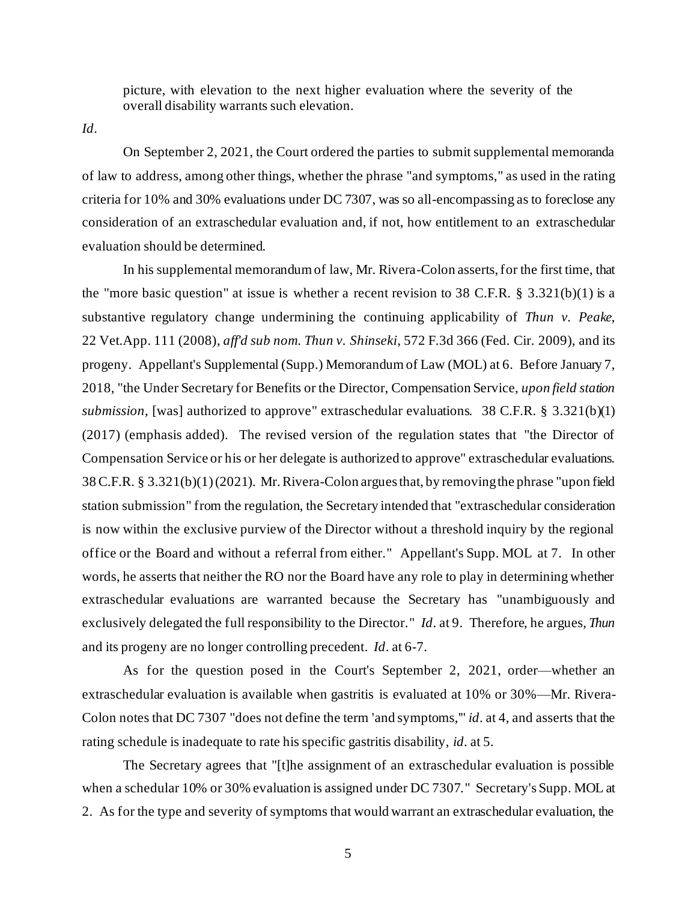picture, with elevation to the next higher evaluation where the severity of the overall disability warrants such elevation.

*Id*.

On September 2, 2021, the Court ordered the parties to submit supplemental memoranda of law to address, among other things, whether the phrase "and symptoms," as used in the rating criteria for 10% and 30% evaluations under DC 7307, was so all-encompassing as to foreclose any consideration of an extraschedular evaluation and, if not, how entitlement to an extraschedular evaluation should be determined.

In his supplemental memorandum of law, Mr. Rivera-Colon asserts, for the first time, that the "more basic question" at issue is whether a recent revision to 38 C.F.R.  $\S$  3.321(b)(1) is a substantive regulatory change undermining the continuing applicability of *Thun v. Peake*, 22 Vet.App. 111 (2008), *aff'd sub nom. Thun v. Shinseki*, 572 F.3d 366 (Fed. Cir. 2009), and its progeny. Appellant's Supplemental (Supp.) Memorandum of Law (MOL) at 6. Before January 7, 2018, "the Under Secretary for Benefits or the Director, Compensation Service, *upon field station submission*, [was] authorized to approve" extraschedular evaluations. 38 C.F.R. § 3.321(b)(1) (2017) (emphasis added). The revised version of the regulation states that "the Director of Compensation Service or his or her delegate is authorized to approve" extraschedular evaluations. 38 C.F.R. § 3.321(b)(1)(2021). Mr. Rivera-Colon argues that, by removing the phrase "upon field station submission" from the regulation, the Secretary intended that "extraschedular consideration is now within the exclusive purview of the Director without a threshold inquiry by the regional office or the Board and without a referral from either." Appellant's Supp. MOL at 7. In other words, he asserts that neither the RO nor the Board have any role to play in determining whether extraschedular evaluations are warranted because the Secretary has "unambiguously and exclusively delegated the full responsibility to the Director." *Id*. at 9. Therefore, he argues, *Thun* and its progeny are no longer controlling precedent. *Id*. at 6-7.

As for the question posed in the Court's September 2, 2021, order—whether an extraschedular evaluation is available when gastritis is evaluated at 10% or 30%—Mr. Rivera-Colon notes that DC 7307 "does not define the term 'and symptoms,'" *id*. at 4, and asserts that the rating schedule is inadequate to rate his specific gastritis disability, *id*. at 5.

The Secretary agrees that "[t]he assignment of an extraschedular evaluation is possible when a schedular 10% or 30% evaluation is assigned under DC 7307." Secretary's Supp. MOL at 2. As for the type and severity of symptoms that would warrant an extraschedular evaluation, the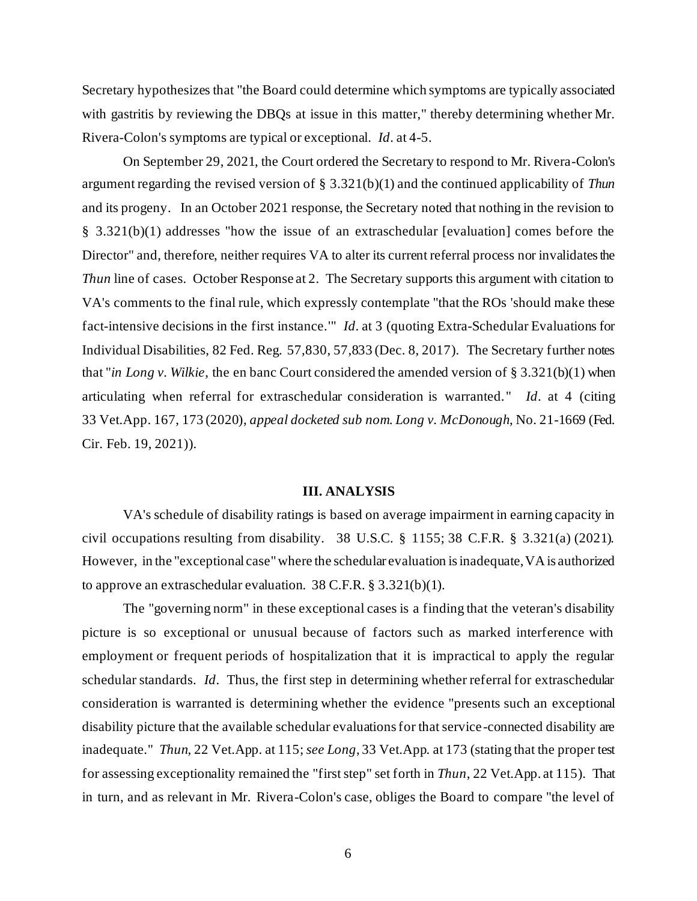Secretary hypothesizes that "the Board could determine which symptoms are typically associated with gastritis by reviewing the DBQs at issue in this matter," thereby determining whether Mr. Rivera-Colon's symptoms are typical or exceptional. *Id*. at 4-5.

On September 29, 2021, the Court ordered the Secretary to respond to Mr. Rivera-Colon's argument regarding the revised version of § 3.321(b)(1) and the continued applicability of *Thun* and its progeny. In an October 2021 response, the Secretary noted that nothing in the revision to § 3.321(b)(1) addresses "how the issue of an extraschedular [evaluation] comes before the Director" and, therefore, neither requires VA to alter its current referral process nor invalidates the *Thun* line of cases. October Response at 2. The Secretary supports this argument with citation to VA's comments to the final rule, which expressly contemplate "that the ROs 'should make these fact-intensive decisions in the first instance.'" *Id*. at 3 (quoting Extra-Schedular Evaluations for Individual Disabilities, 82 Fed. Reg. 57,830, 57,833 (Dec. 8, 2017). The Secretary further notes that "*in Long v. Wilkie*, the en banc Court considered the amended version of § 3.321(b)(1) when articulating when referral for extraschedular consideration is warranted. " *Id*. at 4 (citing 33 Vet.App. 167, 173 (2020), *appeal docketed sub nom*. *Long v. McDonough*, No. 21-1669 (Fed. Cir. Feb. 19, 2021)).

#### **III. ANALYSIS**

VA's schedule of disability ratings is based on average impairment in earning capacity in civil occupations resulting from disability. 38 U.S.C. § 1155; 38 C.F.R. § 3.321(a) (2021). However, in the "exceptional case"where the schedular evaluation is inadequate, VA is authorized to approve an extraschedular evaluation. 38 C.F.R. § 3.321(b)(1).

The "governing norm" in these exceptional cases is a finding that the veteran's disability picture is so exceptional or unusual because of factors such as marked interference with employment or frequent periods of hospitalization that it is impractical to apply the regular schedular standards. *Id*. Thus, the first step in determining whether referral for extraschedular consideration is warranted is determining whether the evidence "presents such an exceptional disability picture that the available schedular evaluations for that service-connected disability are inadequate." *Thun*, 22 Vet.App. at 115;*see Long*, 33 Vet.App. at 173 (stating that the proper test for assessing exceptionality remained the "first step" set forth in *Thun*, 22 Vet.App. at 115). That in turn, and as relevant in Mr. Rivera-Colon's case, obliges the Board to compare "the level of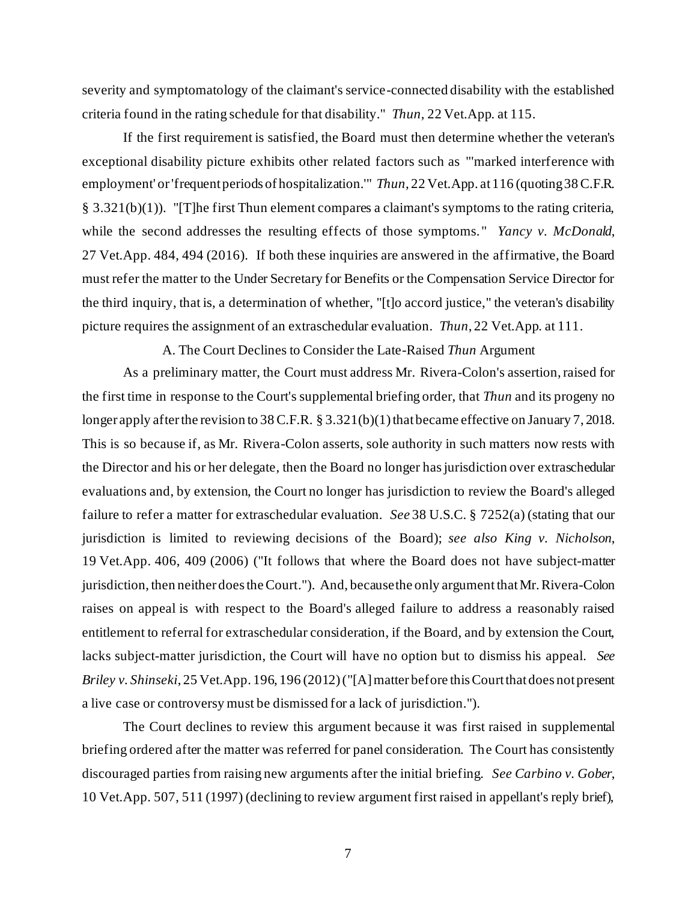severity and symptomatology of the claimant's service-connected disability with the established criteria found in the rating schedule for that disability." *Thun*, 22 Vet.App. at 115.

If the first requirement is satisfied, the Board must then determine whether the veteran's exceptional disability picture exhibits other related factors such as "'marked interference with employment' or 'frequent periods of hospitalization.'" *Thun*, 22 Vet.App. at 116 (quoting 38 C.F.R. § 3.321(b)(1)). "[T]he first Thun element compares a claimant's symptoms to the rating criteria, while the second addresses the resulting effects of those symptoms." *Yancy v. McDonald*, 27 Vet.App. 484, 494 (2016). If both these inquiries are answered in the affirmative, the Board must refer the matter to the Under Secretary for Benefits or the Compensation Service Director for the third inquiry, that is, a determination of whether, "[t]o accord justice," the veteran's disability picture requires the assignment of an extraschedular evaluation. *Thun*, 22 Vet.App. at 111.

A. The Court Declines to Consider the Late-Raised *Thun* Argument

As a preliminary matter, the Court must address Mr. Rivera-Colon's assertion, raised for the first time in response to the Court's supplemental briefing order, that *Thun* and its progeny no longer apply after the revision to 38 C.F.R. § 3.321(b)(1) that became effective on January 7, 2018. This is so because if, as Mr. Rivera-Colon asserts, sole authority in such matters now rests with the Director and his or her delegate, then the Board no longer has jurisdiction over extraschedular evaluations and, by extension, the Court no longer has jurisdiction to review the Board's alleged failure to refer a matter for extraschedular evaluation. *See* 38 U.S.C. § 7252(a) (stating that our jurisdiction is limited to reviewing decisions of the Board); *see also King v. Nicholson*, 19 Vet.App. 406, 409 (2006) ("It follows that where the Board does not have subject-matter jurisdiction, then neither does the Court."). And, because the only argument that Mr. Rivera-Colon raises on appeal is with respect to the Board's alleged failure to address a reasonably raised entitlement to referral for extraschedular consideration, if the Board, and by extension the Court, lacks subject-matter jurisdiction, the Court will have no option but to dismiss his appeal. *See Briley v. Shinseki*, 25 Vet.App. 196, 196 (2012) ("[A] matter before this Court that does not present a live case or controversy must be dismissed for a lack of jurisdiction.").

The Court declines to review this argument because it was first raised in supplemental briefing ordered after the matter was referred for panel consideration. The Court has consistently discouraged parties from raising new arguments after the initial briefing. *See Carbino v. Gober*, 10 Vet.App. 507, 511 (1997) (declining to review argument first raised in appellant's reply brief),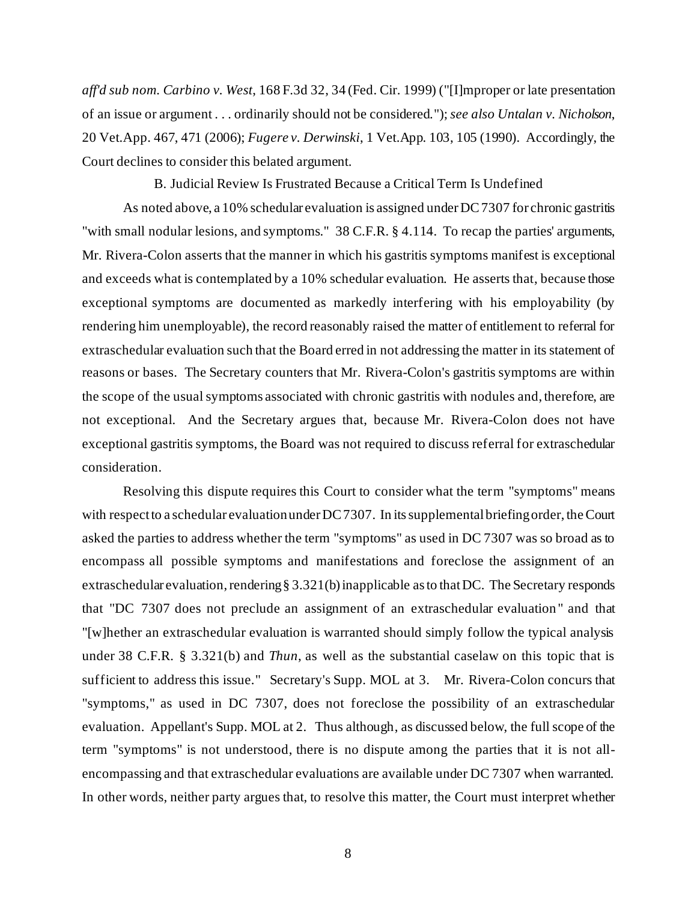*aff'd sub nom. Carbino v. West*, 168 F.3d 32, 34 (Fed. Cir. 1999) ("[I]mproper or late presentation of an issue or argument . . . ordinarily should not be considered."); *see also Untalan v. Nicholson*, 20 Vet.App. 467, 471 (2006); *Fugere v. Derwinski*, 1 Vet.App. 103, 105 (1990). Accordingly, the Court declines to consider this belated argument.

B. Judicial Review Is Frustrated Because a Critical Term Is Undefined

As noted above, a 10% schedular evaluation is assigned under DC 7307 for chronic gastritis "with small nodular lesions, and symptoms." 38 C.F.R. § 4.114. To recap the parties' arguments, Mr. Rivera-Colon asserts that the manner in which his gastritis symptoms manifest is exceptional and exceeds what is contemplated by a 10% schedular evaluation. He asserts that, because those exceptional symptoms are documented as markedly interfering with his employability (by rendering him unemployable), the record reasonably raised the matter of entitlement to referral for extraschedular evaluation such that the Board erred in not addressing the matter in its statement of reasons or bases. The Secretary counters that Mr. Rivera-Colon's gastritis symptoms are within the scope of the usual symptoms associated with chronic gastritis with nodules and, therefore, are not exceptional. And the Secretary argues that, because Mr. Rivera-Colon does not have exceptional gastritis symptoms, the Board was not required to discuss referral for extraschedular consideration.

Resolving this dispute requires this Court to consider what the term "symptoms" means with respect to a schedular evaluation under DC 7307. In its supplemental briefing order, the Court asked the parties to address whether the term "symptoms" as used in DC 7307 was so broad as to encompass all possible symptoms and manifestations and foreclose the assignment of an extraschedular evaluation, rendering § 3.321(b) inapplicable as to that DC. The Secretary responds that "DC 7307 does not preclude an assignment of an extraschedular evaluation " and that "[w]hether an extraschedular evaluation is warranted should simply follow the typical analysis under 38 C.F.R. § 3.321(b) and *Thun*, as well as the substantial caselaw on this topic that is sufficient to address this issue." Secretary's Supp. MOL at 3. Mr. Rivera-Colon concurs that "symptoms," as used in DC 7307, does not foreclose the possibility of an extraschedular evaluation. Appellant's Supp. MOL at 2. Thus although, as discussed below, the full scope of the term "symptoms" is not understood, there is no dispute among the parties that it is not allencompassing and that extraschedular evaluations are available under DC 7307 when warranted. In other words, neither party argues that, to resolve this matter, the Court must interpret whether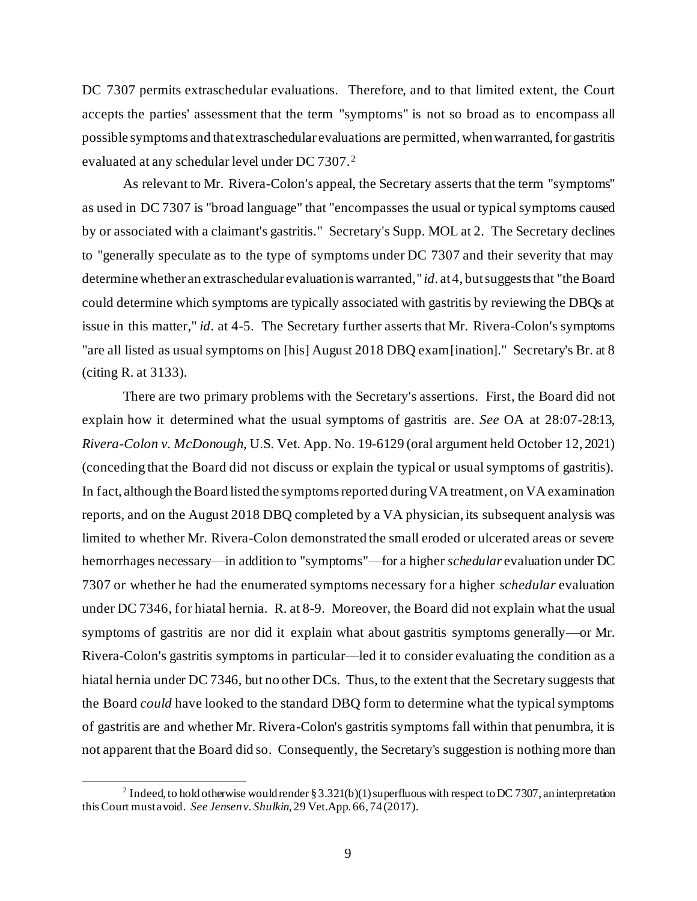DC 7307 permits extraschedular evaluations. Therefore, and to that limited extent, the Court accepts the parties' assessment that the term "symptoms" is not so broad as to encompass all possible symptoms and that extraschedular evaluations are permitted, when warranted, for gastritis evaluated at any schedular level under DC 7307.<sup>2</sup>

As relevant to Mr. Rivera-Colon's appeal, the Secretary asserts that the term "symptoms" as used in DC 7307 is "broad language" that "encompasses the usual or typical symptoms caused by or associated with a claimant's gastritis." Secretary's Supp. MOL at 2. The Secretary declines to "generally speculate as to the type of symptoms under DC 7307 and their severity that may determine whether an extraschedular evaluation is warranted," *id*. at 4, but suggests that "the Board could determine which symptoms are typically associated with gastritis by reviewing the DBQs at issue in this matter," *id*. at 4-5. The Secretary further asserts that Mr. Rivera-Colon's symptoms "are all listed as usual symptoms on [his] August 2018 DBQ exam[ination]." Secretary's Br. at 8 (citing R. at 3133).

There are two primary problems with the Secretary's assertions. First, the Board did not explain how it determined what the usual symptoms of gastritis are. *See* OA at 28:07-28:13, *Rivera-Colon v. McDonough*, U.S. Vet. App. No. 19-6129 (oral argument held October 12, 2021) (conceding that the Board did not discuss or explain the typical or usual symptoms of gastritis). In fact, although the Board listed the symptoms reported during VA treatment, on VA examination reports, and on the August 2018 DBQ completed by a VA physician, its subsequent analysis was limited to whether Mr. Rivera-Colon demonstrated the small eroded or ulcerated areas or severe hemorrhages necessary—in addition to "symptoms"—for a higher *schedular* evaluation under DC 7307 or whether he had the enumerated symptoms necessary for a higher *schedular* evaluation under DC 7346, for hiatal hernia. R. at 8-9. Moreover, the Board did not explain what the usual symptoms of gastritis are nor did it explain what about gastritis symptoms generally—or Mr. Rivera-Colon's gastritis symptoms in particular—led it to consider evaluating the condition as a hiatal hernia under DC 7346, but no other DCs. Thus, to the extent that the Secretary suggests that the Board *could* have looked to the standard DBQ form to determine what the typical symptoms of gastritis are and whether Mr. Rivera-Colon's gastritis symptoms fall within that penumbra, it is not apparent that the Board did so. Consequently, the Secretary's suggestion is nothing more than

<sup>&</sup>lt;sup>2</sup> Indeed, to hold otherwise would render § 3.321(b)(1) superfluous with respect to DC 7307, an interpretation this Court must avoid. *See Jensen v. Shulkin*, 29 Vet.App. 66, 74 (2017).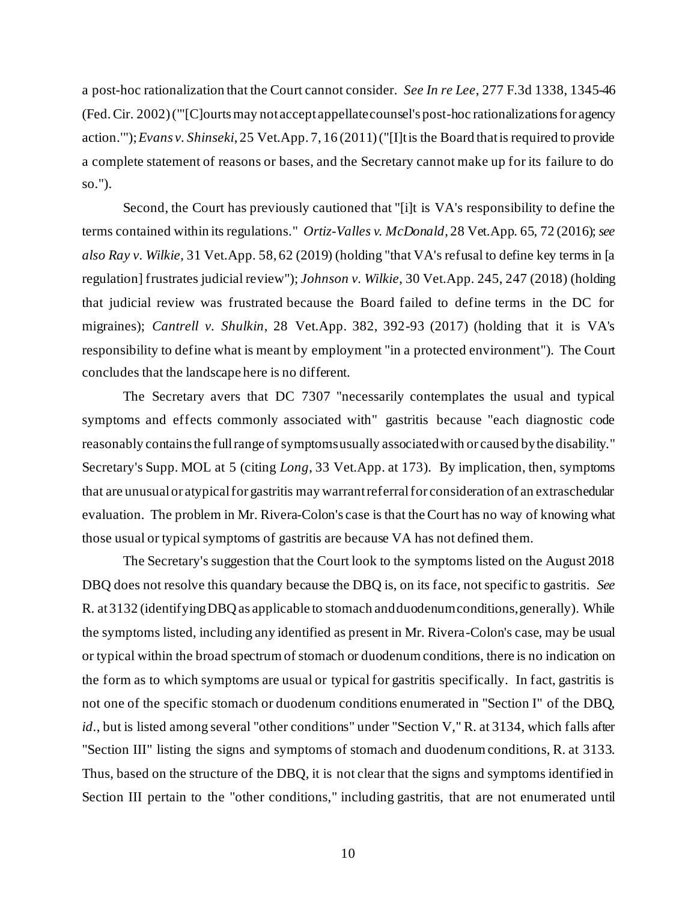a post-hoc rationalization that the Court cannot consider. *See In re Lee*, 277 F.3d 1338, 1345-46 (Fed. Cir. 2002) ("'[C]ourts may not accept appellate counsel's post-hoc rationalizations for agency action.'"); *Evans v. Shinseki*, 25 Vet.App. 7, 16 (2011) ("[I]t is the Board that is required to provide a complete statement of reasons or bases, and the Secretary cannot make up for its failure to do so.").

Second, the Court has previously cautioned that "[i]t is VA's responsibility to define the terms contained within its regulations." *Ortiz-Valles v. McDonald*, 28 Vet.App. 65, 72 (2016); *see also Ray v. Wilkie*, 31 Vet.App. 58, 62 (2019) (holding "that VA's refusal to define key terms in [a regulation] frustrates judicial review"); *Johnson v. Wilkie*, 30 Vet.App. 245, 247 (2018) (holding that judicial review was frustrated because the Board failed to define terms in the DC for migraines); *Cantrell v. Shulkin*, 28 Vet.App. 382, 392-93 (2017) (holding that it is VA's responsibility to define what is meant by employment "in a protected environment"). The Court concludes that the landscape here is no different.

The Secretary avers that DC 7307 "necessarily contemplates the usual and typical symptoms and effects commonly associated with" gastritis because "each diagnostic code reasonably contains the full range of symptoms usually associated with or caused by the disability." Secretary's Supp. MOL at 5 (citing *Long*, 33 Vet.App. at 173). By implication, then, symptoms that are unusual or atypical for gastritis may warrant referral for consideration of an extraschedular evaluation. The problem in Mr. Rivera-Colon's case is that the Court has no way of knowing what those usual or typical symptoms of gastritis are because VA has not defined them.

The Secretary's suggestion that the Court look to the symptoms listed on the August 2018 DBQ does not resolve this quandary because the DBQ is, on its face, not specific to gastritis. *See* R. at 3132 (identifying DBQ as applicable to stomach and duodenumconditions, generally). While the symptoms listed, including any identified as present in Mr. Rivera-Colon's case, may be usual or typical within the broad spectrum of stomach or duodenumconditions, there is no indication on the form as to which symptoms are usual or typical for gastritis specifically. In fact, gastritis is not one of the specific stomach or duodenum conditions enumerated in "Section I" of the DBQ, *id*., but is listed among several "other conditions" under "Section V," R. at 3134, which falls after "Section III" listing the signs and symptoms of stomach and duodenum conditions, R. at 3133. Thus, based on the structure of the DBQ, it is not clear that the signs and symptoms identified in Section III pertain to the "other conditions," including gastritis, that are not enumerated until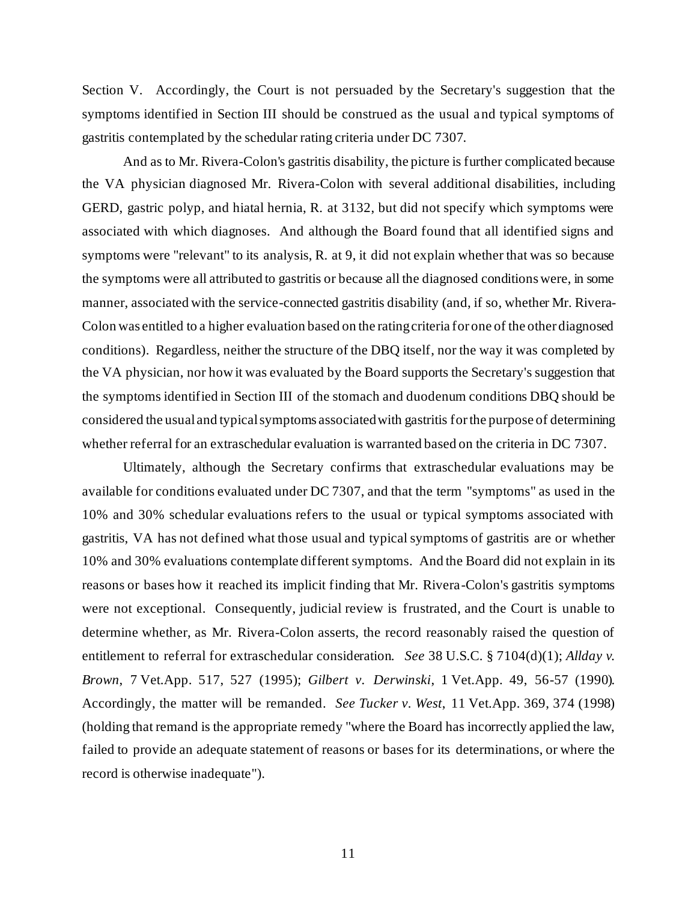Section V. Accordingly, the Court is not persuaded by the Secretary's suggestion that the symptoms identified in Section III should be construed as the usual and typical symptoms of gastritis contemplated by the schedular rating criteria under DC 7307.

And as to Mr. Rivera-Colon's gastritis disability, the picture is further complicated because the VA physician diagnosed Mr. Rivera-Colon with several additional disabilities, including GERD, gastric polyp, and hiatal hernia, R. at 3132, but did not specify which symptoms were associated with which diagnoses. And although the Board found that all identified signs and symptoms were "relevant" to its analysis, R. at 9, it did not explain whether that was so because the symptoms were all attributed to gastritis or because all the diagnosed conditions were, in some manner, associated with the service-connected gastritis disability (and, if so, whether Mr. Rivera-Colon was entitled to a higher evaluation based on the rating criteria for one of the other diagnosed conditions). Regardless, neither the structure of the DBQ itself, nor the way it was completed by the VA physician, nor how it was evaluated by the Board supports the Secretary's suggestion that the symptoms identified in Section III of the stomach and duodenum conditions DBQ should be considered the usual and typical symptoms associated with gastritis for the purpose of determining whether referral for an extraschedular evaluation is warranted based on the criteria in DC 7307.

Ultimately, although the Secretary confirms that extraschedular evaluations may be available for conditions evaluated under DC 7307, and that the term "symptoms" as used in the 10% and 30% schedular evaluations refers to the usual or typical symptoms associated with gastritis, VA has not defined what those usual and typical symptoms of gastritis are or whether 10% and 30% evaluations contemplate different symptoms. And the Board did not explain in its reasons or bases how it reached its implicit finding that Mr. Rivera-Colon's gastritis symptoms were not exceptional. Consequently, judicial review is frustrated, and the Court is unable to determine whether, as Mr. Rivera-Colon asserts, the record reasonably raised the question of entitlement to referral for extraschedular consideration. *See* 38 U.S.C. § 7104(d)(1); *Allday v. Brown*, 7 Vet.App. 517, 527 (1995); *Gilbert v. Derwinski*, 1 Vet.App. 49, 56-57 (1990). Accordingly, the matter will be remanded. *See Tucker v. West*, 11 Vet.App. 369, 374 (1998) (holding that remand is the appropriate remedy "where the Board has incorrectly applied the law, failed to provide an adequate statement of reasons or bases for its determinations, or where the record is otherwise inadequate").